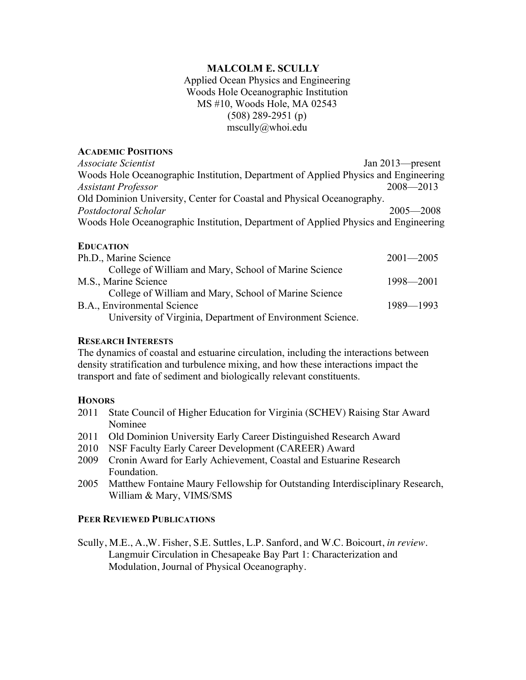# **MALCOLM E. SCULLY**

Applied Ocean Physics and Engineering Woods Hole Oceanographic Institution MS #10, Woods Hole, MA 02543 (508) 289-2951 (p) mscully@whoi.edu

### **ACADEMIC POSITIONS**

*Associate Scientist* Jan 2013—present Woods Hole Oceanographic Institution, Department of Applied Physics and Engineering *Assistant Professor* 2008—2013 Old Dominion University, Center for Coastal and Physical Oceanography. *Postdoctoral Scholar* 2005—2008 Woods Hole Oceanographic Institution, Department of Applied Physics and Engineering

### **EDUCATION**

| Ph.D., Marine Science                                      | $2001 - 2005$ |
|------------------------------------------------------------|---------------|
| College of William and Mary, School of Marine Science      |               |
| M.S., Marine Science                                       | 1998—2001     |
| College of William and Mary, School of Marine Science      |               |
| B.A., Environmental Science                                | 1989—1993     |
| University of Virginia, Department of Environment Science. |               |

### **RESEARCH INTERESTS**

The dynamics of coastal and estuarine circulation, including the interactions between density stratification and turbulence mixing, and how these interactions impact the transport and fate of sediment and biologically relevant constituents.

### **HONORS**

- 2011 State Council of Higher Education for Virginia (SCHEV) Raising Star Award Nominee
- 2011 Old Dominion University Early Career Distinguished Research Award
- 2010 NSF Faculty Early Career Development (CAREER) Award
- 2009 Cronin Award for Early Achievement, Coastal and Estuarine Research Foundation.
- 2005 Matthew Fontaine Maury Fellowship for Outstanding Interdisciplinary Research, William & Mary, VIMS/SMS

### **PEER REVIEWED PUBLICATIONS**

Scully, M.E., A.,W. Fisher, S.E. Suttles, L.P. Sanford, and W.C. Boicourt, *in review*. Langmuir Circulation in Chesapeake Bay Part 1: Characterization and Modulation, Journal of Physical Oceanography.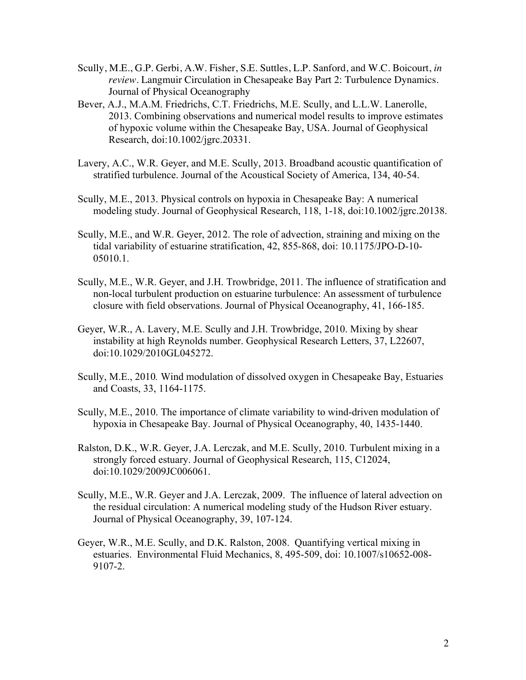- Scully, M.E., G.P. Gerbi, A.W. Fisher, S.E. Suttles, L.P. Sanford, and W.C. Boicourt, *in review*. Langmuir Circulation in Chesapeake Bay Part 2: Turbulence Dynamics. Journal of Physical Oceanography
- Bever, A.J., M.A.M. Friedrichs, C.T. Friedrichs, M.E. Scully, and L.L.W. Lanerolle, 2013. Combining observations and numerical model results to improve estimates of hypoxic volume within the Chesapeake Bay, USA. Journal of Geophysical Research, doi:10.1002/jgrc.20331.
- Lavery, A.C., W.R. Geyer, and M.E. Scully, 2013. Broadband acoustic quantification of stratified turbulence. Journal of the Acoustical Society of America, 134, 40-54.
- Scully, M.E., 2013. Physical controls on hypoxia in Chesapeake Bay: A numerical modeling study. Journal of Geophysical Research, 118, 1-18, doi:10.1002/jgrc.20138.
- Scully, M.E., and W.R. Geyer, 2012. The role of advection, straining and mixing on the tidal variability of estuarine stratification, 42, 855-868, doi: 10.1175/JPO-D-10- 05010.1.
- Scully, M.E., W.R. Geyer, and J.H. Trowbridge, 2011. The influence of stratification and non-local turbulent production on estuarine turbulence: An assessment of turbulence closure with field observations. Journal of Physical Oceanography, 41, 166-185.
- Geyer, W.R., A. Lavery, M.E. Scully and J.H. Trowbridge, 2010. Mixing by shear instability at high Reynolds number. Geophysical Research Letters, 37, L22607, doi:10.1029/2010GL045272.
- Scully, M.E., 2010*.* Wind modulation of dissolved oxygen in Chesapeake Bay, Estuaries and Coasts, 33, 1164-1175.
- Scully, M.E., 2010. The importance of climate variability to wind-driven modulation of hypoxia in Chesapeake Bay. Journal of Physical Oceanography, 40, 1435-1440.
- Ralston, D.K., W.R. Geyer, J.A. Lerczak, and M.E. Scully, 2010. Turbulent mixing in a strongly forced estuary. Journal of Geophysical Research, 115, C12024, doi:10.1029/2009JC006061.
- Scully, M.E., W.R. Geyer and J.A. Lerczak, 2009. The influence of lateral advection on the residual circulation: A numerical modeling study of the Hudson River estuary. Journal of Physical Oceanography, 39, 107-124.
- Geyer, W.R., M.E. Scully, and D.K. Ralston, 2008. Quantifying vertical mixing in estuaries. Environmental Fluid Mechanics, 8, 495-509, doi: 10.1007/s10652-008- 9107-2.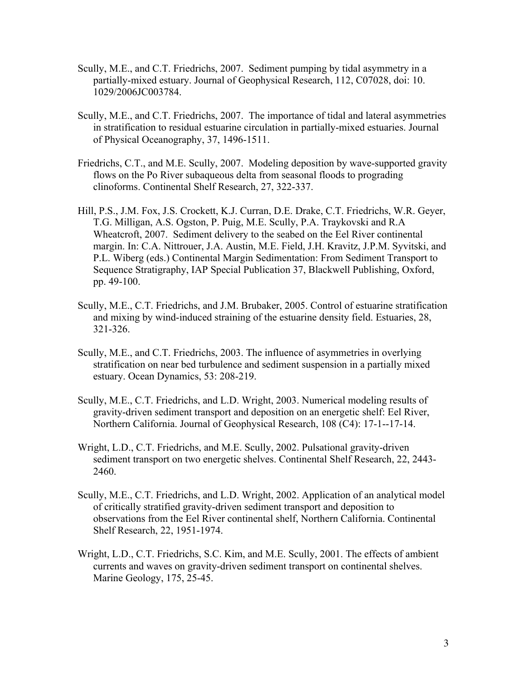- Scully, M.E., and C.T. Friedrichs, 2007. Sediment pumping by tidal asymmetry in a partially-mixed estuary. Journal of Geophysical Research, 112, C07028, doi: 10. 1029/2006JC003784.
- Scully, M.E., and C.T. Friedrichs, 2007. The importance of tidal and lateral asymmetries in stratification to residual estuarine circulation in partially-mixed estuaries. Journal of Physical Oceanography, 37, 1496-1511.
- Friedrichs, C.T., and M.E. Scully, 2007. Modeling deposition by wave-supported gravity flows on the Po River subaqueous delta from seasonal floods to prograding clinoforms. Continental Shelf Research, 27, 322-337.
- Hill, P.S., J.M. Fox, J.S. Crockett, K.J. Curran, D.E. Drake, C.T. Friedrichs, W.R. Geyer, T.G. Milligan, A.S. Ogston, P. Puig, M.E. Scully, P.A. Traykovski and R.A Wheatcroft, 2007. Sediment delivery to the seabed on the Eel River continental margin. In: C.A. Nittrouer, J.A. Austin, M.E. Field, J.H. Kravitz, J.P.M. Syvitski, and P.L. Wiberg (eds.) Continental Margin Sedimentation: From Sediment Transport to Sequence Stratigraphy, IAP Special Publication 37, Blackwell Publishing, Oxford, pp. 49-100.
- Scully, M.E., C.T. Friedrichs, and J.M. Brubaker, 2005. Control of estuarine stratification and mixing by wind-induced straining of the estuarine density field. Estuaries, 28, 321-326.
- Scully, M.E., and C.T. Friedrichs, 2003. The influence of asymmetries in overlying stratification on near bed turbulence and sediment suspension in a partially mixed estuary. Ocean Dynamics, 53: 208-219.
- Scully, M.E., C.T. Friedrichs, and L.D. Wright, 2003. Numerical modeling results of gravity-driven sediment transport and deposition on an energetic shelf: Eel River, Northern California. Journal of Geophysical Research, 108 (C4): 17-1--17-14.
- Wright, L.D., C.T. Friedrichs, and M.E. Scully, 2002. Pulsational gravity-driven sediment transport on two energetic shelves. Continental Shelf Research, 22, 2443- 2460.
- Scully, M.E., C.T. Friedrichs, and L.D. Wright, 2002. Application of an analytical model of critically stratified gravity-driven sediment transport and deposition to observations from the Eel River continental shelf, Northern California. Continental Shelf Research, 22, 1951-1974.
- Wright, L.D., C.T. Friedrichs, S.C. Kim, and M.E. Scully, 2001. The effects of ambient currents and waves on gravity-driven sediment transport on continental shelves. Marine Geology, 175, 25-45.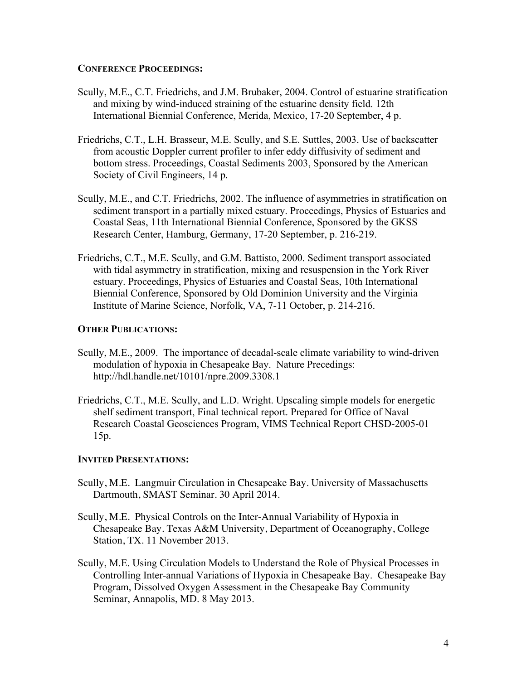### **CONFERENCE PROCEEDINGS:**

- Scully, M.E., C.T. Friedrichs, and J.M. Brubaker, 2004. Control of estuarine stratification and mixing by wind-induced straining of the estuarine density field. 12th International Biennial Conference, Merida, Mexico, 17-20 September, 4 p.
- Friedrichs, C.T., L.H. Brasseur, M.E. Scully, and S.E. Suttles, 2003. Use of backscatter from acoustic Doppler current profiler to infer eddy diffusivity of sediment and bottom stress. Proceedings, Coastal Sediments 2003, Sponsored by the American Society of Civil Engineers, 14 p.
- Scully, M.E., and C.T. Friedrichs, 2002. The influence of asymmetries in stratification on sediment transport in a partially mixed estuary. Proceedings, Physics of Estuaries and Coastal Seas, 11th International Biennial Conference, Sponsored by the GKSS Research Center, Hamburg, Germany, 17-20 September, p. 216-219.
- Friedrichs, C.T., M.E. Scully, and G.M. Battisto, 2000. Sediment transport associated with tidal asymmetry in stratification, mixing and resuspension in the York River estuary. Proceedings, Physics of Estuaries and Coastal Seas, 10th International Biennial Conference, Sponsored by Old Dominion University and the Virginia Institute of Marine Science, Norfolk, VA, 7-11 October, p. 214-216.

# **OTHER PUBLICATIONS:**

- Scully, M.E., 2009. The importance of decadal-scale climate variability to wind-driven modulation of hypoxia in Chesapeake Bay. Nature Precedings: http://hdl.handle.net/10101/npre.2009.3308.1
- Friedrichs, C.T., M.E. Scully, and L.D. Wright. Upscaling simple models for energetic shelf sediment transport, Final technical report. Prepared for Office of Naval Research Coastal Geosciences Program, VIMS Technical Report CHSD-2005-01 15p.

### **INVITED PRESENTATIONS:**

- Scully, M.E. Langmuir Circulation in Chesapeake Bay. University of Massachusetts Dartmouth, SMAST Seminar. 30 April 2014.
- Scully, M.E. Physical Controls on the Inter-Annual Variability of Hypoxia in Chesapeake Bay. Texas A&M University, Department of Oceanography, College Station, TX. 11 November 2013.
- Scully, M.E. Using Circulation Models to Understand the Role of Physical Processes in Controlling Inter-annual Variations of Hypoxia in Chesapeake Bay. Chesapeake Bay Program, Dissolved Oxygen Assessment in the Chesapeake Bay Community Seminar, Annapolis, MD. 8 May 2013.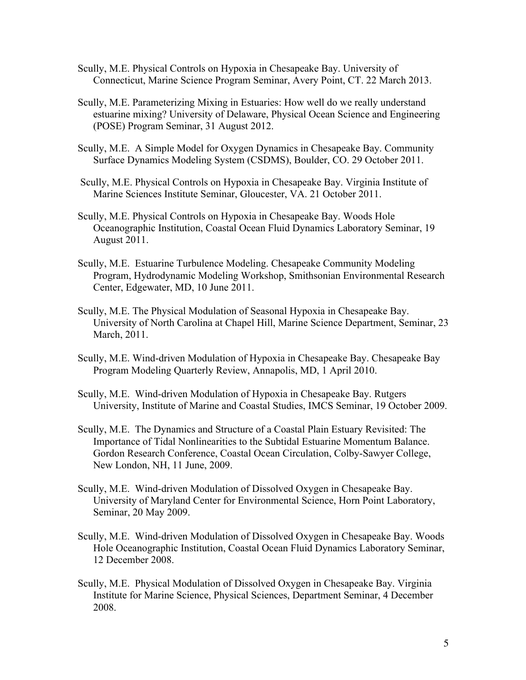- Scully, M.E. Physical Controls on Hypoxia in Chesapeake Bay. University of Connecticut, Marine Science Program Seminar, Avery Point, CT. 22 March 2013.
- Scully, M.E. Parameterizing Mixing in Estuaries: How well do we really understand estuarine mixing? University of Delaware, Physical Ocean Science and Engineering (POSE) Program Seminar, 31 August 2012.
- Scully, M.E. A Simple Model for Oxygen Dynamics in Chesapeake Bay. Community Surface Dynamics Modeling System (CSDMS), Boulder, CO. 29 October 2011.
- Scully, M.E. Physical Controls on Hypoxia in Chesapeake Bay. Virginia Institute of Marine Sciences Institute Seminar, Gloucester, VA. 21 October 2011.
- Scully, M.E. Physical Controls on Hypoxia in Chesapeake Bay. Woods Hole Oceanographic Institution, Coastal Ocean Fluid Dynamics Laboratory Seminar, 19 August 2011.
- Scully, M.E. Estuarine Turbulence Modeling. Chesapeake Community Modeling Program, Hydrodynamic Modeling Workshop, Smithsonian Environmental Research Center, Edgewater, MD, 10 June 2011.
- Scully, M.E. The Physical Modulation of Seasonal Hypoxia in Chesapeake Bay. University of North Carolina at Chapel Hill, Marine Science Department, Seminar, 23 March, 2011.
- Scully, M.E. Wind-driven Modulation of Hypoxia in Chesapeake Bay. Chesapeake Bay Program Modeling Quarterly Review, Annapolis, MD, 1 April 2010.
- Scully, M.E. Wind-driven Modulation of Hypoxia in Chesapeake Bay. Rutgers University, Institute of Marine and Coastal Studies, IMCS Seminar, 19 October 2009.
- Scully, M.E. The Dynamics and Structure of a Coastal Plain Estuary Revisited: The Importance of Tidal Nonlinearities to the Subtidal Estuarine Momentum Balance. Gordon Research Conference, Coastal Ocean Circulation, Colby-Sawyer College, New London, NH, 11 June, 2009.
- Scully, M.E. Wind-driven Modulation of Dissolved Oxygen in Chesapeake Bay. University of Maryland Center for Environmental Science, Horn Point Laboratory, Seminar, 20 May 2009.
- Scully, M.E. Wind-driven Modulation of Dissolved Oxygen in Chesapeake Bay. Woods Hole Oceanographic Institution, Coastal Ocean Fluid Dynamics Laboratory Seminar, 12 December 2008.
- Scully, M.E. Physical Modulation of Dissolved Oxygen in Chesapeake Bay. Virginia Institute for Marine Science, Physical Sciences, Department Seminar, 4 December 2008.